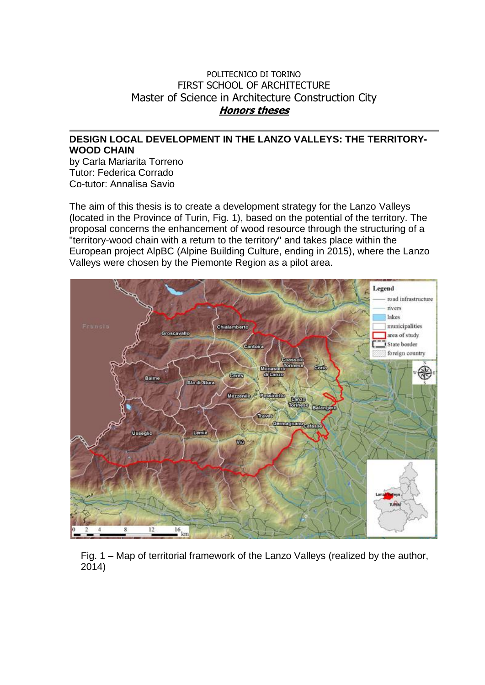## POLITECNICO DI TORINO FIRST SCHOOL OF ARCHITECTURE Master of Science in Architecture Construction City **Honors theses**

## **DESIGN LOCAL DEVELOPMENT IN THE LANZO VALLEYS: THE TERRITORY-WOOD CHAIN**

by Carla Mariarita Torreno Tutor: Federica Corrado Co-tutor: Annalisa Savio

The aim of this thesis is to create a development strategy for the Lanzo Valleys (located in the Province of Turin, Fig. 1), based on the potential of the territory. The proposal concerns the enhancement of wood resource through the structuring of a "territory-wood chain with a return to the territory" and takes place within the European project AlpBC (Alpine Building Culture, ending in 2015), where the Lanzo Valleys were chosen by the Piemonte Region as a pilot area.



Fig. 1 – Map of territorial framework of the Lanzo Valleys (realized by the author, 2014)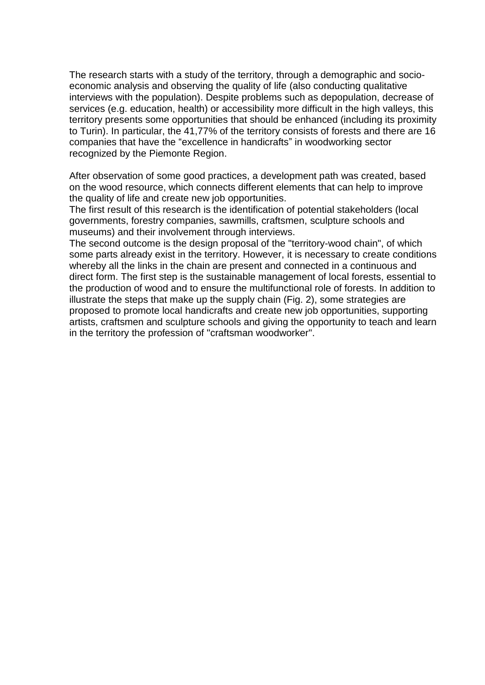The research starts with a study of the territory, through a demographic and socioeconomic analysis and observing the quality of life (also conducting qualitative interviews with the population). Despite problems such as depopulation, decrease of services (e.g. education, health) or accessibility more difficult in the high valleys, this territory presents some opportunities that should be enhanced (including its proximity to Turin). In particular, the 41,77% of the territory consists of forests and there are 16 companies that have the "excellence in handicrafts" in woodworking sector recognized by the Piemonte Region.

After observation of some good practices, a development path was created, based on the wood resource, which connects different elements that can help to improve the quality of life and create new job opportunities.

The first result of this research is the identification of potential stakeholders (local governments, forestry companies, sawmills, craftsmen, sculpture schools and museums) and their involvement through interviews.

The second outcome is the design proposal of the "territory-wood chain", of which some parts already exist in the territory. However, it is necessary to create conditions whereby all the links in the chain are present and connected in a continuous and direct form. The first step is the sustainable management of local forests, essential to the production of wood and to ensure the multifunctional role of forests. In addition to illustrate the steps that make up the supply chain (Fig. 2), some strategies are proposed to promote local handicrafts and create new job opportunities, supporting artists, craftsmen and sculpture schools and giving the opportunity to teach and learn in the territory the profession of "craftsman woodworker".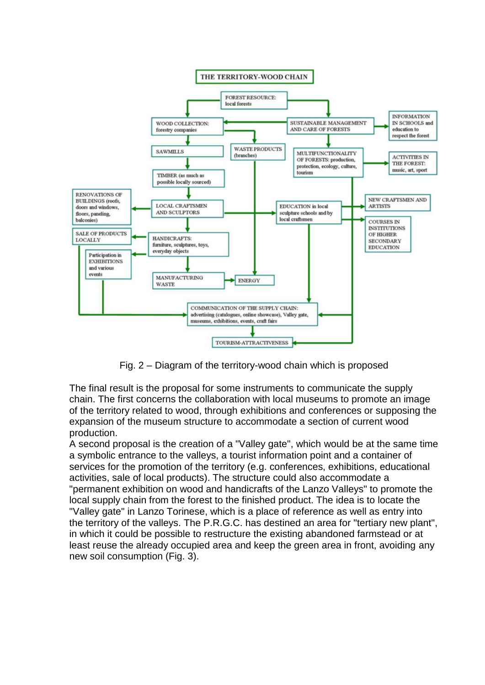

Fig. 2 – Diagram of the territory-wood chain which is proposed

The final result is the proposal for some instruments to communicate the supply chain. The first concerns the collaboration with local museums to promote an image of the territory related to wood, through exhibitions and conferences or supposing the expansion of the museum structure to accommodate a section of current wood production.

A second proposal is the creation of a "Valley gate", which would be at the same time a symbolic entrance to the valleys, a tourist information point and a container of services for the promotion of the territory (e.g. conferences, exhibitions, educational activities, sale of local products). The structure could also accommodate a "permanent exhibition on wood and handicrafts of the Lanzo Valleys" to promote the local supply chain from the forest to the finished product. The idea is to locate the "Valley gate" in Lanzo Torinese, which is a place of reference as well as entry into the territory of the valleys. The P.R.G.C. has destined an area for "tertiary new plant", in which it could be possible to restructure the existing abandoned farmstead or at least reuse the already occupied area and keep the green area in front, avoiding any new soil consumption (Fig. 3).